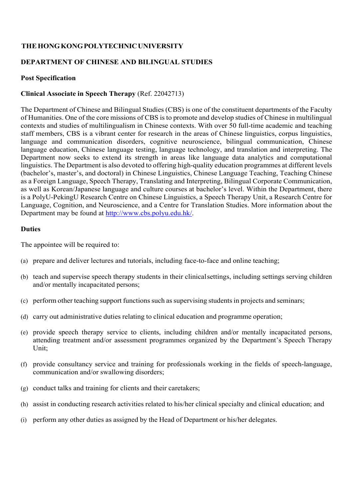## **THE HONG KONG POLYTECHNIC UNIVERSITY**

## **DEPARTMENT OF CHINESE AND BILINGUAL STUDIES**

#### **Post Specification**

### **Clinical Associate in Speech Therapy** (Ref. 22042713)

The Department of Chinese and Bilingual Studies (CBS) is one of the constituent departments of the Faculty of Humanities. One of the core missions of CBS is to promote and develop studies of Chinese in multilingual contexts and studies of multilingualism in Chinese contexts. With over 50 full-time academic and teaching staff members, CBS is a vibrant center for research in the areas of Chinese linguistics, corpus linguistics, language and communication disorders, cognitive neuroscience, bilingual communication, Chinese language education, Chinese language testing, language technology, and translation and interpreting. The Department now seeks to extend its strength in areas like language data analytics and computational linguistics. The Department is also devoted to offering high-quality education programmes at different levels (bachelor's, master's, and doctoral) in Chinese Linguistics, Chinese Language Teaching, Teaching Chinese as a Foreign Language, Speech Therapy, Translating and Interpreting, Bilingual Corporate Communication, as well as Korean/Japanese language and culture courses at bachelor's level. Within the Department, there is a PolyU-PekingU Research Centre on Chinese Linguistics, a Speech Therapy Unit, a Research Centre for Language, Cognition, and Neuroscience, and a Centre for Translation Studies. More information about the Department may be found at http://www.cbs.polyu.edu.hk/.

#### **Duties**

The appointee will be required to:

- (a) prepare and deliver lectures and tutorials, including face-to-face and online teaching;
- (b) teach and supervise speech therapy students in their clinical settings, including settings serving children and/or mentally incapacitated persons;
- (c) perform other teaching support functions such as supervising students in projects and seminars;
- (d) carry out administrative duties relating to clinical education and programme operation;
- (e) provide speech therapy service to clients, including children and/or mentally incapacitated persons, attending treatment and/or assessment programmes organized by the Department's Speech Therapy Unit;
- (f) provide consultancy service and training for professionals working in the fields of speech-language, communication and/or swallowing disorders;
- (g) conduct talks and training for clients and their caretakers;
- (h) assist in conducting research activities related to his/her clinical specialty and clinical education; and
- (i) perform any other duties as assigned by the Head of Department or his/her delegates.